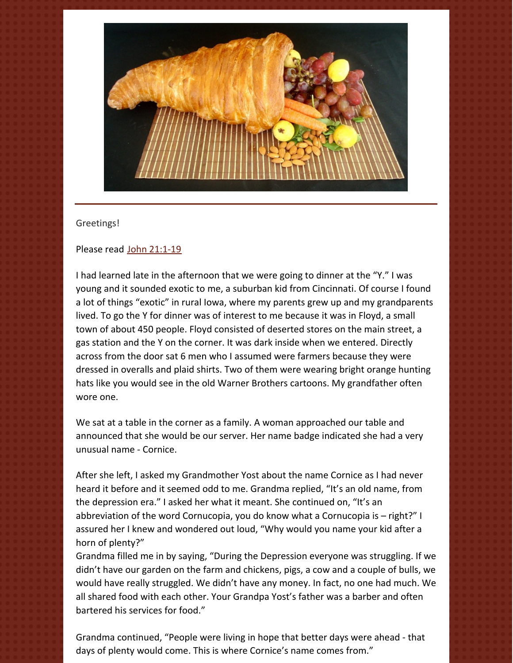

## Greetings!

## Please read John [21:1-19](https://www.biblegateway.com/passage/?search=John+21%3A1-19&version=NRSV)

I had learned late in the afternoon that we were going to dinner at the "Y." I was young and it sounded exotic to me, a suburban kid from Cincinnati. Of course I found a lot of things "exotic" in rural Iowa, where my parents grew up and my grandparents lived. To go the Y for dinner was of interest to me because it was in Floyd, a small town of about 450 people. Floyd consisted of deserted stores on the main street, a gas station and the Y on the corner. It was dark inside when we entered. Directly across from the door sat 6 men who I assumed were farmers because they were dressed in overalls and plaid shirts. Two of them were wearing bright orange hunting hats like you would see in the old Warner Brothers cartoons. My grandfather often wore one.

We sat at a table in the corner as a family. A woman approached our table and announced that she would be our server. Her name badge indicated she had a very unusual name - Cornice.

After she left, I asked my Grandmother Yost about the name Cornice as I had never heard it before and it seemed odd to me. Grandma replied, "It's an old name, from the depression era." I asked her what it meant. She continued on, "It's an abbreviation of the word Cornucopia, you do know what a Cornucopia is – right?" I assured her I knew and wondered out loud, "Why would you name your kid after a horn of plenty?"

Grandma filled me in by saying, "During the Depression everyone was struggling. If we didn't have our garden on the farm and chickens, pigs, a cow and a couple of bulls, we would have really struggled. We didn't have any money. In fact, no one had much. We all shared food with each other. Your Grandpa Yost's father was a barber and often bartered his services for food."

Grandma continued, "People were living in hope that better days were ahead - that days of plenty would come. This is where Cornice's name comes from."